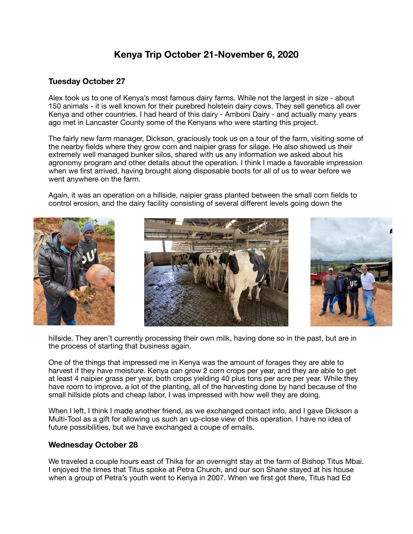## **Kenya Trip October 21-November 6, 2020**

## **Tuesday October 27**

Alex took us to one of Kenya's most famous dairy farms. While not the largest in size - about 150 animals - it is well known for their purebred holstein dairy cows. They sell genetics all over Kenya and other countries. I had heard of this dairy - Amboni Dairy - and actually many years ago met in Lancaster County some of the Kenyans who were starting this project.

The fairly new farm manager, Dickson, graciously took us on a tour of the farm, visiting some of the nearby fields where they grow corn and naipier grass for silage. He also showed us their extremely well managed bunker silos, shared with us any information we asked about his agronomy program and other details about the operation. I think I made a favorable impression when we first arrived, having brought along disposable boots for all of us to wear before we went anywhere on the farm.

Again, it was an operation on a hillside, naipier grass planted between the small corn fields to control erosion, and the dairy facility consisting of several different levels going down the







hillside. They aren't currently processing their own milk, having done so in the past, but are in the process of starting that business again.

One of the things that impressed me in Kenya was the amount of forages they are able to harvest if they have moisture. Kenya can grow 2 corn crops per year, and they are able to get at least 4 naipier grass per year, both crops yielding 40 plus tons per acre per year. While they have room to improve, a lot of the planting, all of the harvesting done by hand because of the small hillside plots and cheap labor, I was impressed with how well they are doing.

When I left, I think I made another friend, as we exchanged contact info, and I gave Dickson a Multi-Tool as a gift for allowing us such an up-close view of this operation. I have no idea of future possibilities, but we have exchanged a coupe of emails.

## **Wednesday October 28**

We traveled a couple hours east of Thika for an overnight stay at the farm of Bishop Titus Mbai. I enjoyed the times that Titus spoke at Petra Church, and our son Shane stayed at his house when a group of Petra's youth went to Kenya in 2007. When we first got there, Titus had Ed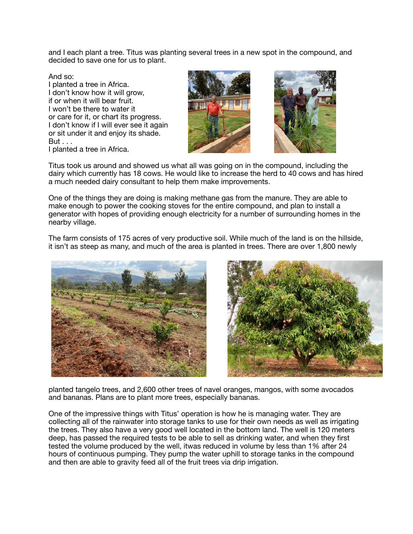and I each plant a tree. Titus was planting several trees in a new spot in the compound, and decided to save one for us to plant.

And so: I planted a tree in Africa. I don't know how it will grow. if or when it will bear fruit. I won't be there to water it or care for it, or chart its progress. I don't know if I will ever see it again or sit under it and enjoy its shade. But . . . I planted a tree in Africa.





Titus took us around and showed us what all was going on in the compound, including the dairy which currently has 18 cows. He would like to increase the herd to 40 cows and has hired a much needed dairy consultant to help them make improvements.

One of the things they are doing is making methane gas from the manure. They are able to make enough to power the cooking stoves for the entire compound, and plan to install a generator with hopes of providing enough electricity for a number of surrounding homes in the nearby village.

The farm consists of 175 acres of very productive soil. While much of the land is on the hillside, it isn't as steep as many, and much of the area is planted in trees. There are over 1,800 newly





planted tangelo trees, and 2,600 other trees of navel oranges, mangos, with some avocados and bananas. Plans are to plant more trees, especially bananas.

One of the impressive things with Titus' operation is how he is managing water. They are collecting all of the rainwater into storage tanks to use for their own needs as well as irrigating the trees. They also have a very good well located in the bottom land. The well is 120 meters deep, has passed the required tests to be able to sell as drinking water, and when they first tested the volume produced by the well, itwas reduced in volume by less than 1% after 24 hours of continuous pumping. They pump the water uphill to storage tanks in the compound and then are able to gravity feed all of the fruit trees via drip irrigation.